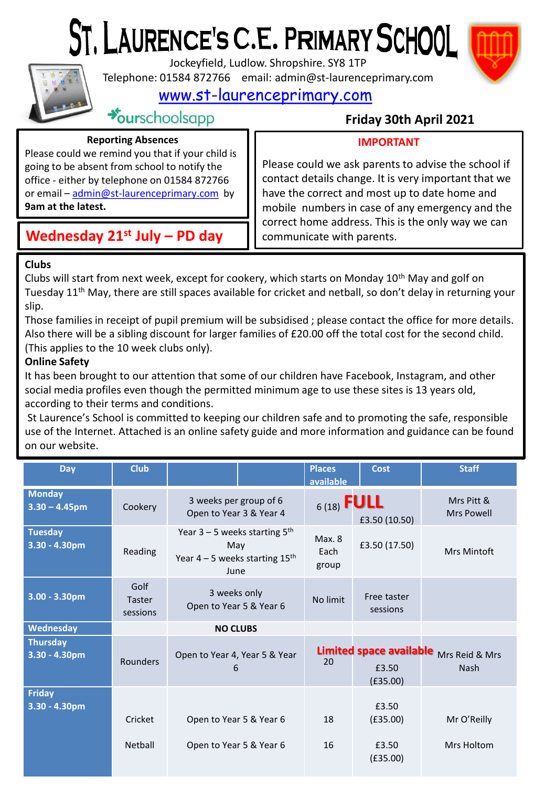# ST. LAURENCE'S C.E. PRIMARY SCHOOL



Jockeyfield, Ludlow. Shropshire. SY8 1TP

Telephone: 01584 872766 email: admin@st-laurenceprimary.com

[www.st-laurenceprimary.com](http://www.st-laurenceprimary.com/)



 $\rightarrow$ ourschoolsapp

# **Friday 30th April 2021**

## **Reporting Absences**

# **IMPORTANT**

Please could we remind you that if your child is going to be absent from school to notify the office - either by telephone on 01584 872766 or email – [admin@st-laurenceprimary.com](mailto:admin@st-laurenceprimary.com) by **9am at the latest.**

# **Wednesday 21st July – PD day**

Please could we ask parents to advise the school if contact details change. It is very important that we have the correct and most up to date home and mobile numbers in case of any emergency and the correct home address. This is the only way we can communicate with parents.

# **Clubs**

Clubs will start from next week, except for cookery, which starts on Monday  $10^{th}$  May and golf on Tuesday 11<sup>th</sup> May, there are still spaces available for cricket and netball, so don't delay in returning your slip.

Those families in receipt of pupil premium will be subsidised ; please contact the office for more details. Also there will be a sibling discount for larger families of £20.00 off the total cost for the second child. (This applies to the 10 week clubs only).

# **Online Safety**

It has been brought to our attention that some of our children have Facebook, Instagram, and other social media profiles even though the permitted minimum age to use these sites is 13 years old, according to their terms and conditions.

St Laurence's School is committed to keeping our children safe and to promoting the safe, responsible use of the Internet. Attached is an online safety guide and more information and guidance can be found on our website.

| <b>Day</b>                          | <b>Club</b>                       |                                                                                                | <b>Places</b><br>available     | <b>Cost</b>             | <b>Staff</b>                                          |
|-------------------------------------|-----------------------------------|------------------------------------------------------------------------------------------------|--------------------------------|-------------------------|-------------------------------------------------------|
| <b>Monday</b><br>$3.30 - 4.45$ pm   | Cookery                           | 3 weeks per group of 6<br>Open to Year 3 & Year 4                                              | $6(18)$ FULL                   | £3.50 (10.50)           | Mrs Pitt &<br><b>Mrs Powell</b>                       |
| <b>Tuesday</b><br>3.30 - 4.30pm     | Reading                           | Year $3 - 5$ weeks starting $5th$<br>May<br>Year $4-5$ weeks starting $15^{\text{th}}$<br>June | <b>Max. 8</b><br>Each<br>group | £3.50 (17.50)           | Mrs Mintoft                                           |
| $3.00 - 3.30$ pm                    | Golf<br><b>Taster</b><br>sessions | 3 weeks only<br>Open to Year 5 & Year 6                                                        | No limit                       | Free taster<br>sessions |                                                       |
| Wednesday                           |                                   | <b>NO CLUBS</b>                                                                                |                                |                         |                                                       |
| <b>Thursday</b><br>$3.30 - 4.30$ pm | Rounders                          | Open to Year 4, Year 5 & Year<br>6                                                             | 20                             | £3.50<br>(E35.00)       | Limited space available Mrs Reid & Mrs<br><b>Nash</b> |
| <b>Friday</b><br>3.30 - 4.30pm      | Cricket                           | Open to Year 5 & Year 6                                                                        | 18                             | £3.50<br>(E35.00)       | Mr O'Reilly                                           |
|                                     | Netball                           | Open to Year 5 & Year 6                                                                        | 16                             | £3.50<br>(E35.00)       | Mrs Holtom                                            |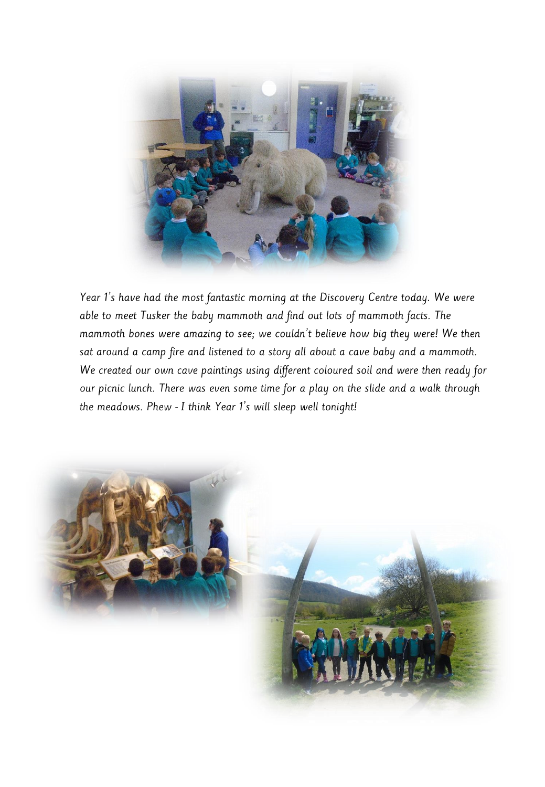

Year 1's have had the most fantastic morning at the Discovery Centre today. We were able to meet Tusker the baby mammoth and find out lots of mammoth facts. The mammoth bones were amazing to see; we couldn't believe how big they were! We then sat around a camp fire and listened to a story all about a cave baby and a mammoth. We created our own cave paintings using different coloured soil and were then ready for our picnic lunch. There was even some time for a play on the slide and a walk through the meadows. Phew - I think Year 1's will sleep well tonight!

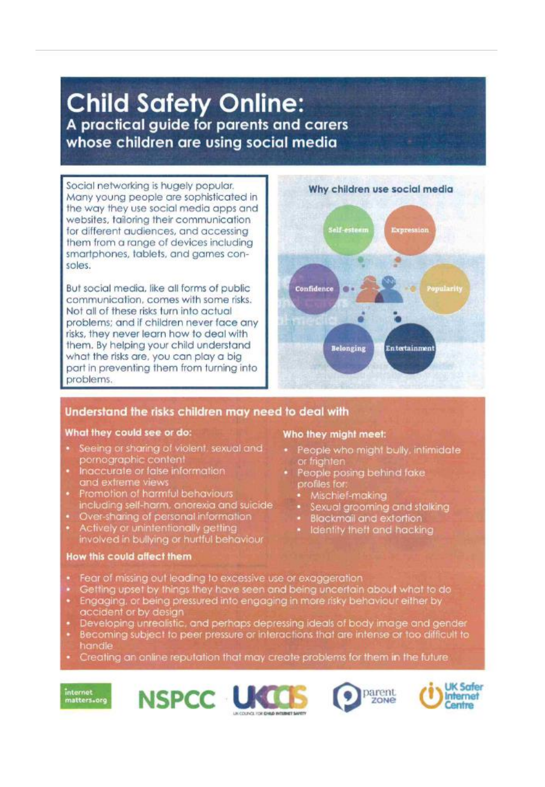# **Child Safety Online:** A practical guide for parents and carers whose children are using social media

Social networking is hugely popular. Many young people are sophisticated in the way they use social media apps and websites, tailoring their communication for different audiences, and accessing them from a range of devices including smartphones, tablets, and games consoles.

But social media, like all forms of public communication, comes with some risks. Not all of these risks turn into actual problems; and if children never face any risks, they never learn how to deal with them. By helping your child understand what the risks are, you can play a big part in preventing them from turning into problems.



## Understand the risks children may need to deal with

#### What they could see or do:

- Seeing or sharing of violent, sexual and pornographic content
- Inaccurate or false information and extreme views
- Promotion of harmful behaviours including self-harm, anorexia and suicide
- Over-sharing of personal information
- Actively or unintentionally getting involved in bullying or hurtful behaviour

#### How this could affect them

#### Who they might meet:

- People who might bully, infimidate or frighten
- People posing behind fake profiles for
	- · Mischief-making
	- · Sexual grooming and stalking
	- · Blackmail and extortion
	- · Identity theft and hacking
- Fear of missing out leading to excessive use or exaggeration
- Getting upset by things they have seen and being uncertain about what to do
- Engaging, or being pressured into engaging in more risky behaviour either by
- accident or by design<br>Developing unrealistic, and perhaps depressing ideals of body image and gender
- Becoming subject to peer pressure or interactions that are intense or too difficult to handle
- Creating an anline reputation that may create problems for them in the future